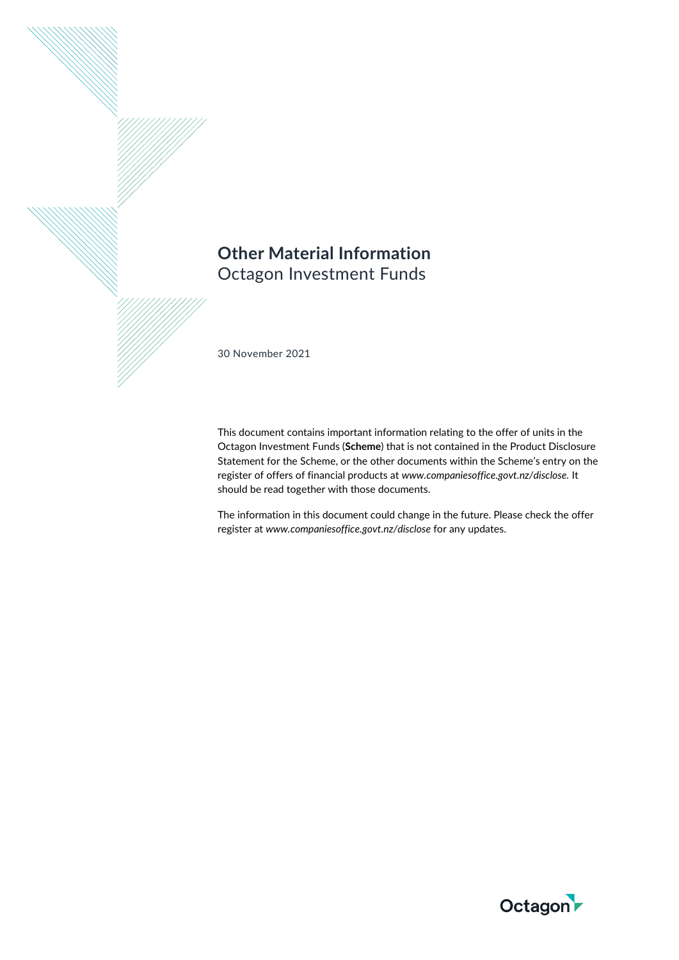# **Other Material Information**  Octagon Investment Funds

30 November 2021

This document contains important information relating to the offer of units in the Octagon Investment Funds (**Scheme**) that is not contained in the Product Disclosure Statement for the Scheme, or the other documents within the Scheme's entry on the register of offers of financial products at *www.companiesoffice.govt.nz/disclose.* It should be read together with those documents.

The information in this document could change in the future. Please check the offer register at *www.companiesoffice.govt.nz/disclose* for any updates.

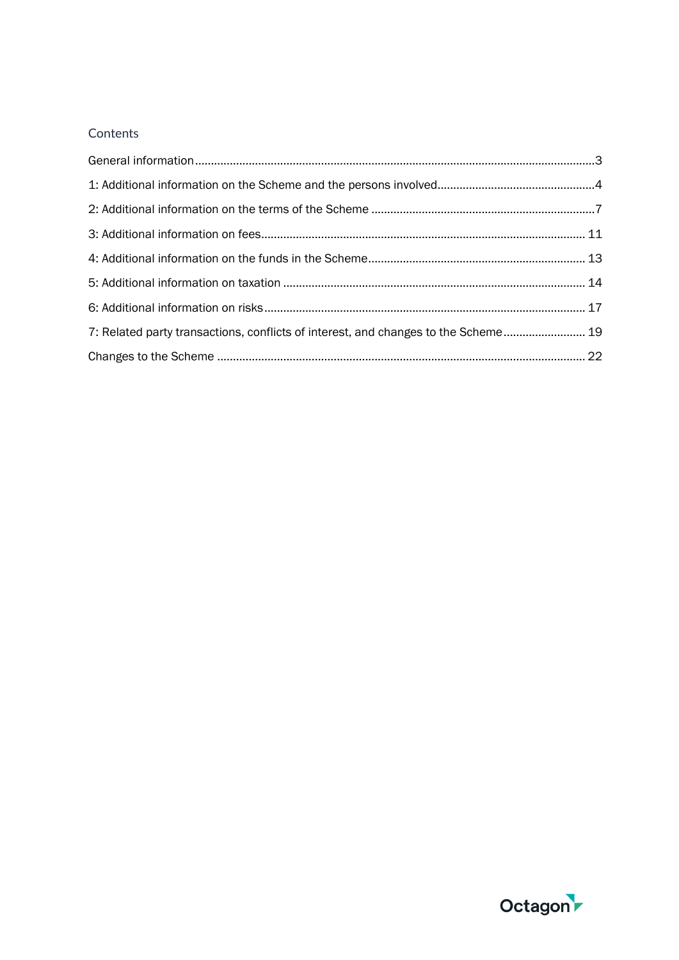## **Contents**

| 7: Related party transactions, conflicts of interest, and changes to the Scheme 19 |  |
|------------------------------------------------------------------------------------|--|
|                                                                                    |  |

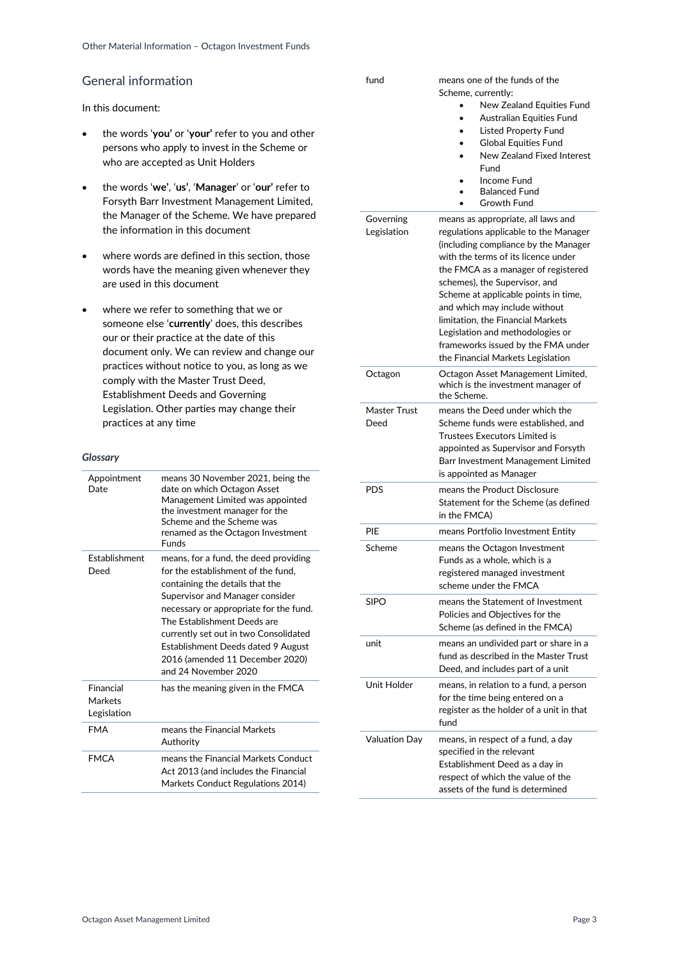## <span id="page-2-0"></span>General information

In this document:

- the words '**you'** or '**your'** refer to you and other persons who apply to invest in the Scheme or who are accepted as Unit Holders
- the words '**we'**, '**us'**, '**Manager**' or '**our'** refer to Forsyth Barr Investment Management Limited, the Manager of the Scheme. We have prepared the information in this document
- where words are defined in this section, those words have the meaning given whenever they are used in this document
- where we refer to something that we or someone else '**currently**' does, this describes our or their practice at the date of this document only. We can review and change our practices without notice to you, as long as we comply with the Master Trust Deed, Establishment Deeds and Governing Legislation. Other parties may change their practices at any time

#### *Glossary*

| Appointment<br>Date                 | means 30 November 2021, being the<br>date on which Octagon Asset<br>Management Limited was appointed<br>the investment manager for the<br>Scheme and the Scheme was<br>renamed as the Octagon Investment<br>Funds                                                                                                                                                    |
|-------------------------------------|----------------------------------------------------------------------------------------------------------------------------------------------------------------------------------------------------------------------------------------------------------------------------------------------------------------------------------------------------------------------|
| <b>Fstablishment</b><br>Deed        | means, for a fund, the deed providing<br>for the establishment of the fund.<br>containing the details that the<br>Supervisor and Manager consider<br>necessary or appropriate for the fund.<br>The Establishment Deeds are<br>currently set out in two Consolidated<br>Establishment Deeds dated 9 August<br>2016 (amended 11 December 2020)<br>and 24 November 2020 |
| Financial<br>Markets<br>Legislation | has the meaning given in the FMCA                                                                                                                                                                                                                                                                                                                                    |
| <b>FMA</b>                          | means the Financial Markets<br>Authority                                                                                                                                                                                                                                                                                                                             |
| <b>FMCA</b>                         | means the Financial Markets Conduct<br>Act 2013 (and includes the Financial<br>Markets Conduct Regulations 2014)                                                                                                                                                                                                                                                     |

| fund                 | means one of the funds of the<br>Scheme, currently:<br>New Zealand Equities Fund<br><b>Australian Equities Fund</b><br><b>Listed Property Fund</b><br><b>Global Equities Fund</b><br>New Zealand Fixed Interest<br>Fund<br>Income Fund<br><b>Balanced Fund</b><br>Growth Fund                                                                                                                                             |
|----------------------|---------------------------------------------------------------------------------------------------------------------------------------------------------------------------------------------------------------------------------------------------------------------------------------------------------------------------------------------------------------------------------------------------------------------------|
| Governing            | means as appropriate, all laws and                                                                                                                                                                                                                                                                                                                                                                                        |
| Legislation          | regulations applicable to the Manager<br>(including compliance by the Manager<br>with the terms of its licence under<br>the FMCA as a manager of registered<br>schemes), the Supervisor, and<br>Scheme at applicable points in time,<br>and which may include without<br>limitation, the Financial Markets<br>Legislation and methodologies or<br>frameworks issued by the FMA under<br>the Financial Markets Legislation |
| Octagon              | Octagon Asset Management Limited,<br>which is the investment manager of<br>the Scheme.                                                                                                                                                                                                                                                                                                                                    |
| Master Trust<br>Deed | means the Deed under which the<br>Scheme funds were established, and<br>Trustees Executors Limited is<br>appointed as Supervisor and Forsyth<br>Barr Investment Management Limited<br>is appointed as Manager                                                                                                                                                                                                             |
| <b>PDS</b>           | means the Product Disclosure                                                                                                                                                                                                                                                                                                                                                                                              |
|                      | Statement for the Scheme (as defined<br>in the FMCA)                                                                                                                                                                                                                                                                                                                                                                      |
| PIE                  | means Portfolio Investment Entity                                                                                                                                                                                                                                                                                                                                                                                         |
| Scheme               | means the Octagon Investment<br>Funds as a whole, which is a<br>registered managed investment<br>scheme under the FMCA                                                                                                                                                                                                                                                                                                    |
| SIPO                 | means the Statement of Investment<br>Policies and Objectives for the<br>Scheme (as defined in the FMCA)                                                                                                                                                                                                                                                                                                                   |
| unit                 | means an undivided part or share in a<br>fund as described in the Master Trust<br>Deed, and includes part of a unit                                                                                                                                                                                                                                                                                                       |
| Unit Holder          | means, in relation to a fund, a person<br>for the time being entered on a<br>register as the holder of a unit in that<br>fund                                                                                                                                                                                                                                                                                             |
| <b>Valuation Day</b> | means, in respect of a fund, a day<br>specified in the relevant<br>Establishment Deed as a day in<br>respect of which the value of the<br>assets of the fund is determined                                                                                                                                                                                                                                                |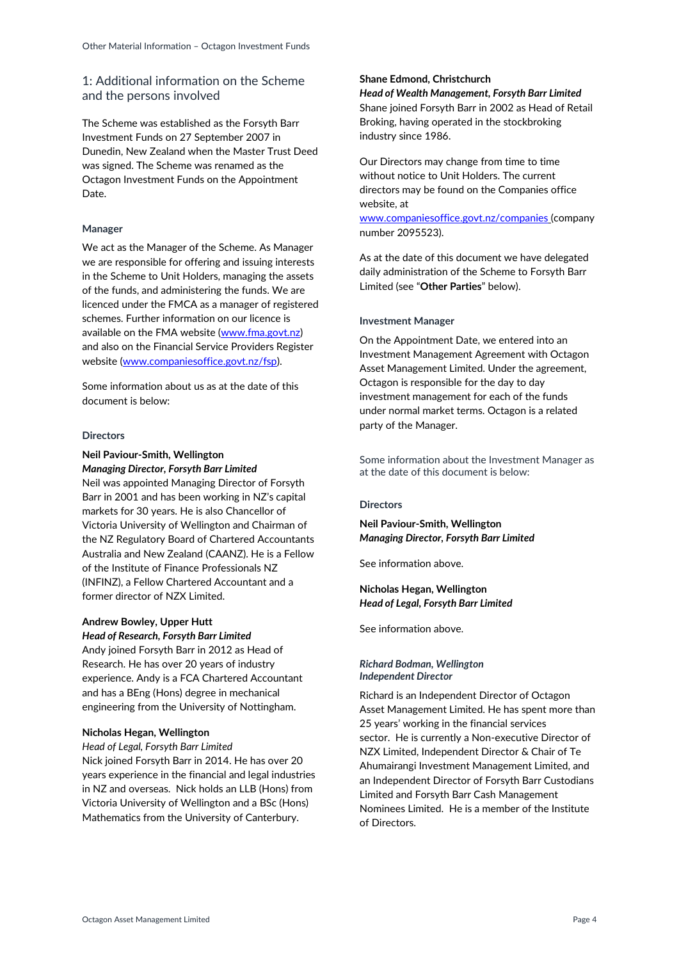## <span id="page-3-0"></span>1: Additional information on the Scheme and the persons involved

The Scheme was established as the Forsyth Barr Investment Funds on 27 September 2007 in Dunedin, New Zealand when the Master Trust Deed was signed. The Scheme was renamed as the Octagon Investment Funds on the Appointment Date.

#### **Manager**

We act as the Manager of the Scheme. As Manager we are responsible for offering and issuing interests in the Scheme to Unit Holders, managing the assets of the funds, and administering the funds. We are licenced under the FMCA as a manager of registered schemes. Further information on our licence is available on the FMA website [\(www.fma.govt.nz\)](http://www.fma.govt.nz/) and also on the Financial Service Providers Register website [\(www.companiesoffice.govt.nz/fsp\)](http://www.companiesoffice.govt.nz/fsp).

Some information about us as at the date of this document is below:

#### **Directors**

### **Neil Paviour-Smith, Wellington** *Managing Director, Forsyth Barr Limited*

Neil was appointed Managing Director of Forsyth Barr in 2001 and has been working in NZ's capital markets for 30 years. He is also Chancellor of Victoria University of Wellington and Chairman of the NZ Regulatory Board of Chartered Accountants Australia and New Zealand (CAANZ). He is a Fellow of the Institute of Finance Professionals NZ (INFINZ), a Fellow Chartered Accountant and a former director of NZX Limited.

## **Andrew Bowley, Upper Hutt** *Head of Research, Forsyth Barr Limited*

Andy joined Forsyth Barr in 2012 as Head of Research. He has over 20 years of industry experience. Andy is a FCA Chartered Accountant and has a BEng (Hons) degree in mechanical engineering from the University of Nottingham.

#### **Nicholas Hegan, Wellington**

*Head of Legal, Forsyth Barr Limited* Nick joined Forsyth Barr in 2014. He has over 20 years experience in the financial and legal industries in NZ and overseas. Nick holds an LLB (Hons) from Victoria University of Wellington and a BSc (Hons) Mathematics from the University of Canterbury.

## **Shane Edmond, Christchurch**

*Head of Wealth Management, Forsyth Barr Limited* Shane joined Forsyth Barr in 2002 as Head of Retail Broking, having operated in the stockbroking industry since 1986.

Our Directors may change from time to time without notice to Unit Holders. The current directors may be found on the Companies office website, at [www.companiesoffice.govt.nz/companies](http://www.companiesoffice.govt.nz/companies) (company number 2095523).

As at the date of this document we have delegated daily administration of the Scheme to Forsyth Barr Limited (see "**Other Parties**" below).

#### **Investment Manager**

On the Appointment Date, we entered into an Investment Management Agreement with Octagon Asset Management Limited. Under the agreement, Octagon is responsible for the day to day investment management for each of the funds under normal market terms. Octagon is a related party of the Manager.

Some information about the Investment Manager as at the date of this document is below:

#### **Directors**

## **Neil Paviour-Smith, Wellington** *Managing Director, Forsyth Barr Limited*

See information above.

#### **Nicholas Hegan, Wellington** *Head of Legal, Forsyth Barr Limited*

See information above.

#### *Richard Bodman, Wellington Independent Director*

Richard is an Independent Director of Octagon Asset Management Limited. He has spent more than 25 years' working in the financial services sector. He is currently a Non-executive Director of NZX Limited, Independent Director & Chair of Te Ahumairangi Investment Management Limited, and an Independent Director of Forsyth Barr Custodians Limited and Forsyth Barr Cash Management Nominees Limited. He is a member of the Institute of Directors.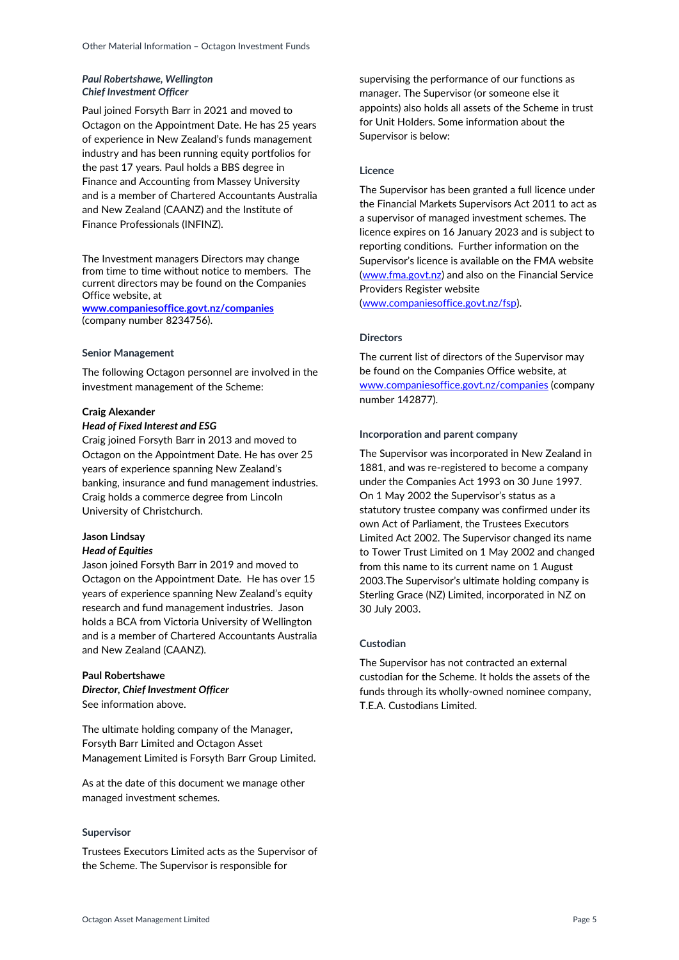## *Paul Robertshawe, Wellington Chief Investment Officer*

Paul joined Forsyth Barr in 2021 and moved to Octagon on the Appointment Date. He has 25 years of experience in New Zealand's funds management industry and has been running equity portfolios for the past 17 years. Paul holds a BBS degree in Finance and Accounting from Massey University and is a member of Chartered Accountants Australia and New Zealand (CAANZ) and the Institute of Finance Professionals (INFINZ).

The Investment managers Directors may change from time to time without notice to members. The current directors may be found on the Companies Office website, at

**[www.companiesoffice.govt.nz/companies](http://www.business.govt.nz/companies)** (company number 8234756).

#### **Senior Management**

The following Octagon personnel are involved in the investment management of the Scheme:

#### **Craig Alexander**

#### *Head of Fixed Interest and ESG*

Craig joined Forsyth Barr in 2013 and moved to Octagon on the Appointment Date. He has over 25 years of experience spanning New Zealand's banking, insurance and fund management industries. Craig holds a commerce degree from Lincoln University of Christchurch.

#### **Jason Lindsay**

#### *Head of Equities*

Jason joined Forsyth Barr in 2019 and moved to Octagon on the Appointment Date. He has over 15 years of experience spanning New Zealand's equity research and fund management industries. Jason holds a BCA from Victoria University of Wellington and is a member of Chartered Accountants Australia and New Zealand (CAANZ).

### **Paul Robertshawe** *Director, Chief Investment Officer* See information above.

The ultimate holding company of the Manager, Forsyth Barr Limited and Octagon Asset Management Limited is Forsyth Barr Group Limited.

As at the date of this document we manage other managed investment schemes.

#### **Supervisor**

Trustees Executors Limited acts as the Supervisor of the Scheme. The Supervisor is responsible for

supervising the performance of our functions as manager. The Supervisor (or someone else it appoints) also holds all assets of the Scheme in trust for Unit Holders. Some information about the Supervisor is below:

## **Licence**

The Supervisor has been granted a full licence under the Financial Markets Supervisors Act 2011 to act as a supervisor of managed investment schemes. The licence expires on 16 January 2023 and is subject to reporting conditions. Further information on the Supervisor's licence is available on the FMA website [\(www.fma.govt.nz\)](http://www.fma.govt.nz/) and also on the Financial Service Providers Register website

[\(www.companiesoffice.govt.nz/fsp\)](http://www.companiesoffice.govt.nz/fsp).

#### **Directors**

The current list of directors of the Supervisor may be found on the Companies Office website, at [www.companiesoffice.govt.nz/companies](http://www.companiesoffice.govt.nz/companies) (company number 142877).

#### **Incorporation and parent company**

The Supervisor was incorporated in New Zealand in 1881, and was re-registered to become a company under the Companies Act 1993 on 30 June 1997. On 1 May 2002 the Supervisor's status as a statutory trustee company was confirmed under its own Act of Parliament, the Trustees Executors Limited Act 2002. The Supervisor changed its name to Tower Trust Limited on 1 May 2002 and changed from this name to its current name on 1 August 2003.The Supervisor's ultimate holding company is Sterling Grace (NZ) Limited, incorporated in NZ on 30 July 2003.

#### **Custodian**

The Supervisor has not contracted an external custodian for the Scheme. It holds the assets of the funds through its wholly-owned nominee company, T.E.A. Custodians Limited.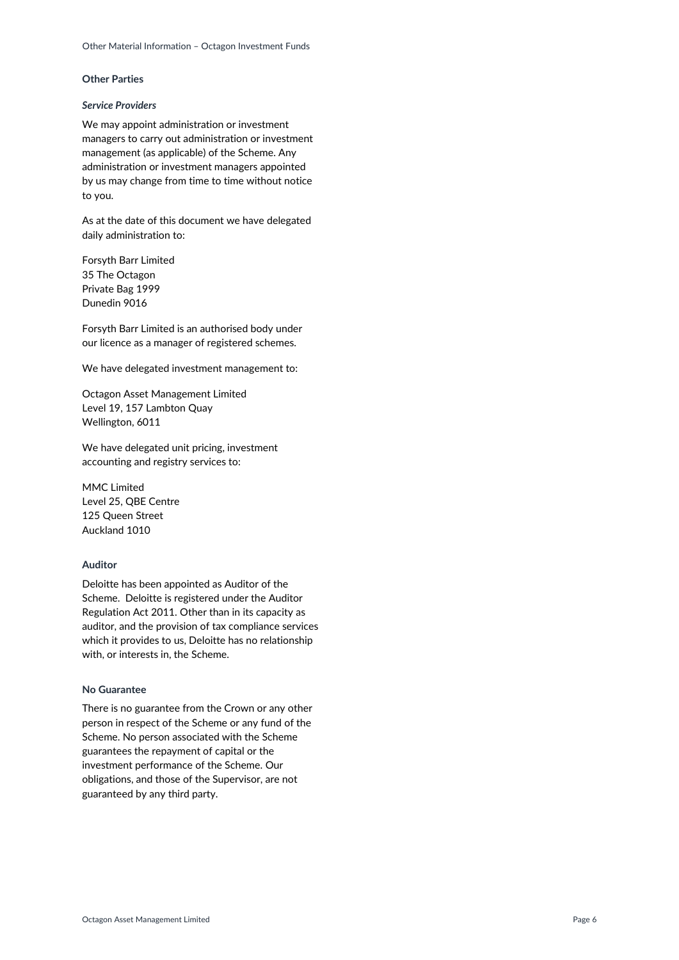#### **Other Parties**

#### *Service Providers*

We may appoint administration or investment managers to carry out administration or investment management (as applicable) of the Scheme. Any administration or investment managers appointed by us may change from time to time without notice to you.

As at the date of this document we have delegated daily administration to:

Forsyth Barr Limited 35 The Octagon Private Bag 1999 Dunedin 9016

Forsyth Barr Limited is an authorised body under our licence as a manager of registered schemes.

We have delegated investment management to:

Octagon Asset Management Limited Level 19, 157 Lambton Quay Wellington, 6011

We have delegated unit pricing, investment accounting and registry services to:

MMC Limited Level 25, QBE Centre 125 Queen Street Auckland 1010

#### **Auditor**

Deloitte has been appointed as Auditor of the Scheme. Deloitte is registered under the Auditor Regulation Act 2011. Other than in its capacity as auditor, and the provision of tax compliance services which it provides to us, Deloitte has no relationship with, or interests in, the Scheme.

#### **No Guarantee**

There is no guarantee from the Crown or any other person in respect of the Scheme or any fund of the Scheme. No person associated with the Scheme guarantees the repayment of capital or the investment performance of the Scheme. Our obligations, and those of the Supervisor, are not guaranteed by any third party.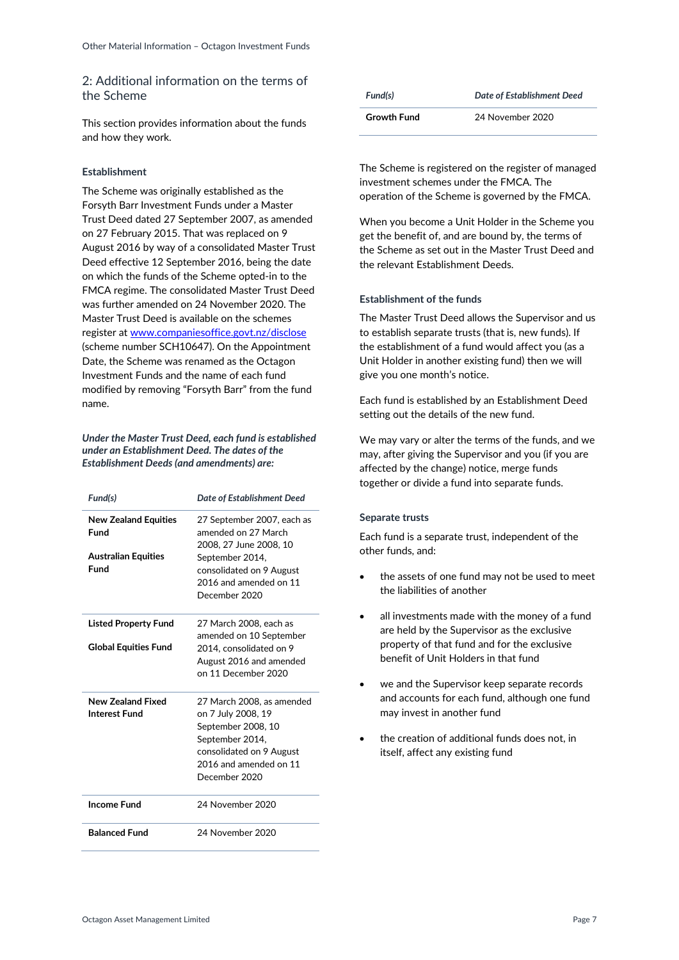## <span id="page-6-0"></span>2: Additional information on the terms of the Scheme

This section provides information about the funds and how they work.

## **Establishment**

The Scheme was originally established as the Forsyth Barr Investment Funds under a Master Trust Deed dated 27 September 2007, as amended on 27 February 2015. That was replaced on 9 August 2016 by way of a consolidated Master Trust Deed effective 12 September 2016, being the date on which the funds of the Scheme opted-in to the FMCA regime. The consolidated Master Trust Deed was further amended on 24 November 2020. The Master Trust Deed is available on the schemes register at [www.companiesoffice.govt.nz/disclose](http://www.companiesoffice.govt.nz/disclose) (scheme number SCH10647). On the Appointment Date, the Scheme was renamed as the Octagon Investment Funds and the name of each fund modified by removing "Forsyth Barr" from the fund name.

#### *Under the Master Trust Deed, each fund is established under an Establishment Deed. The dates of the Establishment Deeds (and amendments) are:*

| Fund(s)                             | Date of Establishment Deed                                                                                                                                      |
|-------------------------------------|-----------------------------------------------------------------------------------------------------------------------------------------------------------------|
| <b>New Zealand Equities</b><br>Fund | 27 September 2007, each as<br>amended on 27 March<br>2008, 27 June 2008, 10                                                                                     |
| <b>Australian Equities</b><br>Fund  | September 2014,<br>consolidated on 9 August<br>2016 and amended on 11<br>December 2020                                                                          |
| <b>Listed Property Fund</b>         | 27 March 2008, each as<br>amended on 10 September                                                                                                               |
| <b>Global Equities Fund</b>         | 2014, consolidated on 9<br>August 2016 and amended<br>on 11 December 2020                                                                                       |
| New Zealand Fixed<br>Interest Fund  | 27 March 2008, as amended<br>on 7 July 2008, 19<br>September 2008, 10<br>September 2014,<br>consolidated on 9 August<br>2016 and amended on 11<br>December 2020 |
| <b>Income Fund</b>                  | 24 November 2020                                                                                                                                                |
| <b>Balanced Fund</b>                | 24 November 2020                                                                                                                                                |

| Fund(s)            | Date of Establishment Deed |
|--------------------|----------------------------|
| <b>Growth Fund</b> | 24 November 2020           |

The Scheme is registered on the register of managed investment schemes under the FMCA. The operation of the Scheme is governed by the FMCA.

When you become a Unit Holder in the Scheme you get the benefit of, and are bound by, the terms of the Scheme as set out in the Master Trust Deed and the relevant Establishment Deeds.

## **Establishment of the funds**

The Master Trust Deed allows the Supervisor and us to establish separate trusts (that is, new funds). If the establishment of a fund would affect you (as a Unit Holder in another existing fund) then we will give you one month's notice.

Each fund is established by an Establishment Deed setting out the details of the new fund.

We may vary or alter the terms of the funds, and we may, after giving the Supervisor and you (if you are affected by the change) notice, merge funds together or divide a fund into separate funds.

## **Separate trusts**

Each fund is a separate trust, independent of the other funds, and:

- the assets of one fund may not be used to meet the liabilities of another
- all investments made with the money of a fund are held by the Supervisor as the exclusive property of that fund and for the exclusive benefit of Unit Holders in that fund
- we and the Supervisor keep separate records and accounts for each fund, although one fund may invest in another fund
- the creation of additional funds does not, in itself, affect any existing fund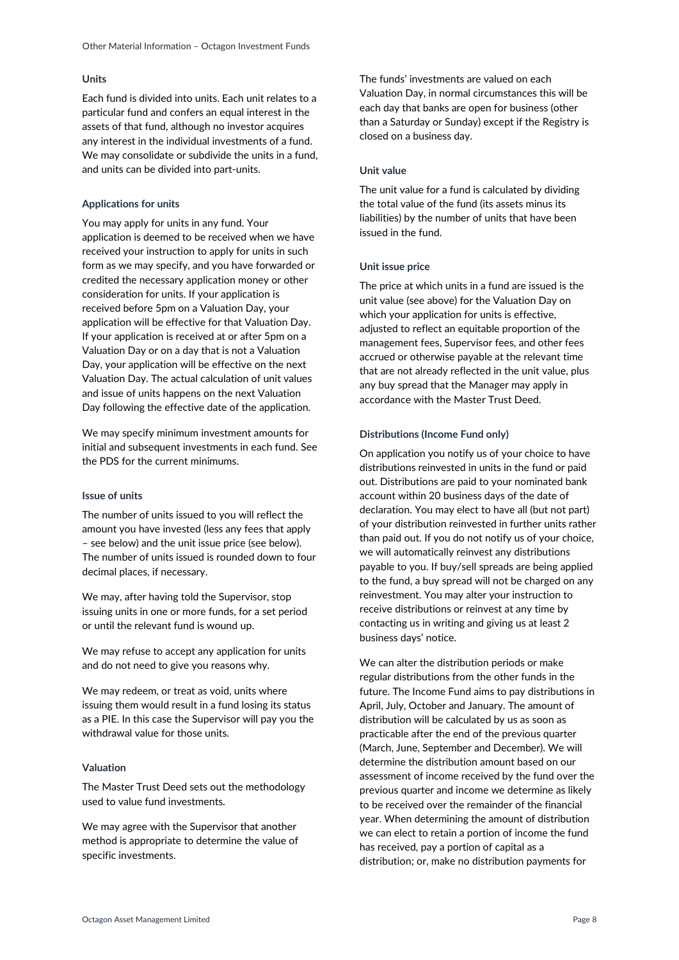#### **Units**

Each fund is divided into units. Each unit relates to a particular fund and confers an equal interest in the assets of that fund, although no investor acquires any interest in the individual investments of a fund. We may consolidate or subdivide the units in a fund, and units can be divided into part-units.

#### **Applications for units**

You may apply for units in any fund. Your application is deemed to be received when we have received your instruction to apply for units in such form as we may specify, and you have forwarded or credited the necessary application money or other consideration for units. If your application is received before 5pm on a Valuation Day, your application will be effective for that Valuation Day. If your application is received at or after 5pm on a Valuation Day or on a day that is not a Valuation Day, your application will be effective on the next Valuation Day. The actual calculation of unit values and issue of units happens on the next Valuation Day following the effective date of the application.

We may specify minimum investment amounts for initial and subsequent investments in each fund. See the PDS for the current minimums.

#### **Issue of units**

The number of units issued to you will reflect the amount you have invested (less any fees that apply – see below) and the unit issue price (see below). The number of units issued is rounded down to four decimal places, if necessary.

We may, after having told the Supervisor, stop issuing units in one or more funds, for a set period or until the relevant fund is wound up.

We may refuse to accept any application for units and do not need to give you reasons why.

We may redeem, or treat as void, units where issuing them would result in a fund losing its status as a PIE. In this case the Supervisor will pay you the withdrawal value for those units.

#### **Valuation**

The Master Trust Deed sets out the methodology used to value fund investments.

We may agree with the Supervisor that another method is appropriate to determine the value of specific investments.

The funds' investments are valued on each Valuation Day, in normal circumstances this will be each day that banks are open for business (other than a Saturday or Sunday) except if the Registry is closed on a business day.

### **Unit value**

The unit value for a fund is calculated by dividing the total value of the fund (its assets minus its liabilities) by the number of units that have been issued in the fund.

#### **Unit issue price**

The price at which units in a fund are issued is the unit value (see above) for the Valuation Day on which your application for units is effective, adjusted to reflect an equitable proportion of the management fees, Supervisor fees, and other fees accrued or otherwise payable at the relevant time that are not already reflected in the unit value, plus any buy spread that the Manager may apply in accordance with the Master Trust Deed.

#### **Distributions (Income Fund only)**

On application you notify us of your choice to have distributions reinvested in units in the fund or paid out. Distributions are paid to your nominated bank account within 20 business days of the date of declaration. You may elect to have all (but not part) of your distribution reinvested in further units rather than paid out. If you do not notify us of your choice, we will automatically reinvest any distributions payable to you. If buy/sell spreads are being applied to the fund, a buy spread will not be charged on any reinvestment. You may alter your instruction to receive distributions or reinvest at any time by contacting us in writing and giving us at least 2 business days' notice.

We can alter the distribution periods or make regular distributions from the other funds in the future. The Income Fund aims to pay distributions in April, July, October and January. The amount of distribution will be calculated by us as soon as practicable after the end of the previous quarter (March, June, September and December). We will determine the distribution amount based on our assessment of income received by the fund over the previous quarter and income we determine as likely to be received over the remainder of the financial year. When determining the amount of distribution we can elect to retain a portion of income the fund has received, pay a portion of capital as a distribution; or, make no distribution payments for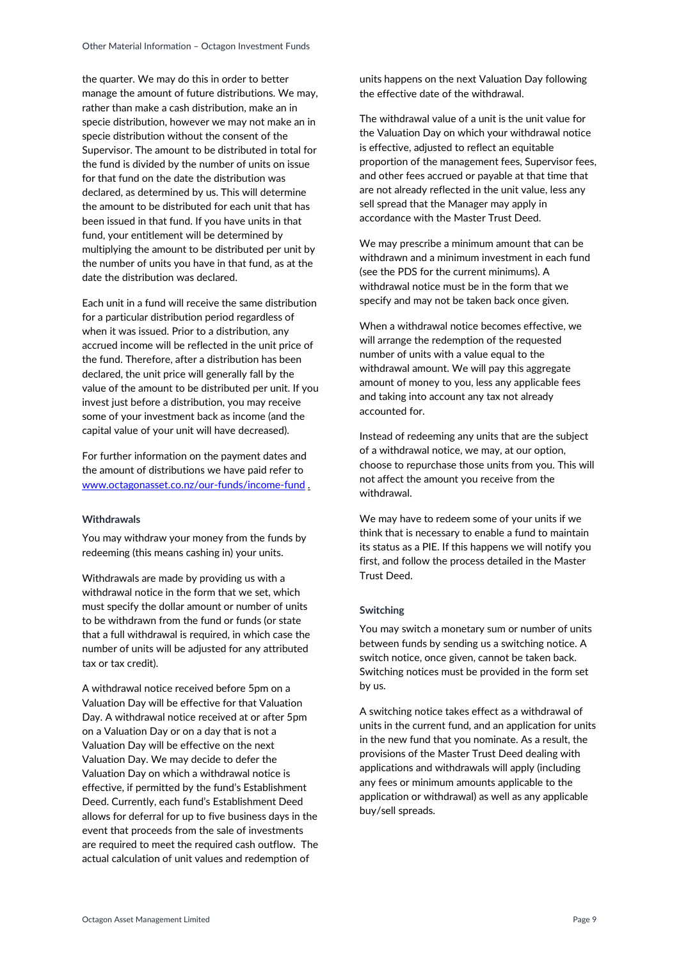the quarter. We may do this in order to better manage the amount of future distributions. We may, rather than make a cash distribution, make an in specie distribution, however we may not make an in specie distribution without the consent of the Supervisor. The amount to be distributed in total for the fund is divided by the number of units on issue for that fund on the date the distribution was declared, as determined by us. This will determine the amount to be distributed for each unit that has been issued in that fund. If you have units in that fund, your entitlement will be determined by multiplying the amount to be distributed per unit by the number of units you have in that fund, as at the date the distribution was declared.

Each unit in a fund will receive the same distribution for a particular distribution period regardless of when it was issued. Prior to a distribution, any accrued income will be reflected in the unit price of the fund. Therefore, after a distribution has been declared, the unit price will generally fall by the value of the amount to be distributed per unit. If you invest just before a distribution, you may receive some of your investment back as income (and the capital value of your unit will have decreased).

For further information on the payment dates and the amount of distributions we have paid refer to [www.octagonasset.co.nz/our-funds/income-fund](file://///forbar/data/Marketing%20and%20Compliance%20Words%20Flow/OMI%20FBIF/www.octagonasset.co.nz/our-funds/income-fund) .

### **Withdrawals**

You may withdraw your money from the funds by redeeming (this means cashing in) your units.

Withdrawals are made by providing us with a withdrawal notice in the form that we set, which must specify the dollar amount or number of units to be withdrawn from the fund or funds (or state that a full withdrawal is required, in which case the number of units will be adjusted for any attributed tax or tax credit).

A withdrawal notice received before 5pm on a Valuation Day will be effective for that Valuation Day. A withdrawal notice received at or after 5pm on a Valuation Day or on a day that is not a Valuation Day will be effective on the next Valuation Day. We may decide to defer the Valuation Day on which a withdrawal notice is effective, if permitted by the fund's Establishment Deed. Currently, each fund's Establishment Deed allows for deferral for up to five business days in the event that proceeds from the sale of investments are required to meet the required cash outflow. The actual calculation of unit values and redemption of

units happens on the next Valuation Day following the effective date of the withdrawal.

The withdrawal value of a unit is the unit value for the Valuation Day on which your withdrawal notice is effective, adjusted to reflect an equitable proportion of the management fees, Supervisor fees, and other fees accrued or payable at that time that are not already reflected in the unit value, less any sell spread that the Manager may apply in accordance with the Master Trust Deed.

We may prescribe a minimum amount that can be withdrawn and a minimum investment in each fund (see the PDS for the current minimums). A withdrawal notice must be in the form that we specify and may not be taken back once given.

When a withdrawal notice becomes effective, we will arrange the redemption of the requested number of units with a value equal to the withdrawal amount. We will pay this aggregate amount of money to you, less any applicable fees and taking into account any tax not already accounted for.

Instead of redeeming any units that are the subject of a withdrawal notice, we may, at our option, choose to repurchase those units from you. This will not affect the amount you receive from the withdrawal.

We may have to redeem some of your units if we think that is necessary to enable a fund to maintain its status as a PIE. If this happens we will notify you first, and follow the process detailed in the Master Trust Deed.

#### **Switching**

You may switch a monetary sum or number of units between funds by sending us a switching notice. A switch notice, once given, cannot be taken back. Switching notices must be provided in the form set by us.

A switching notice takes effect as a withdrawal of units in the current fund, and an application for units in the new fund that you nominate. As a result, the provisions of the Master Trust Deed dealing with applications and withdrawals will apply (including any fees or minimum amounts applicable to the application or withdrawal) as well as any applicable buy/sell spreads.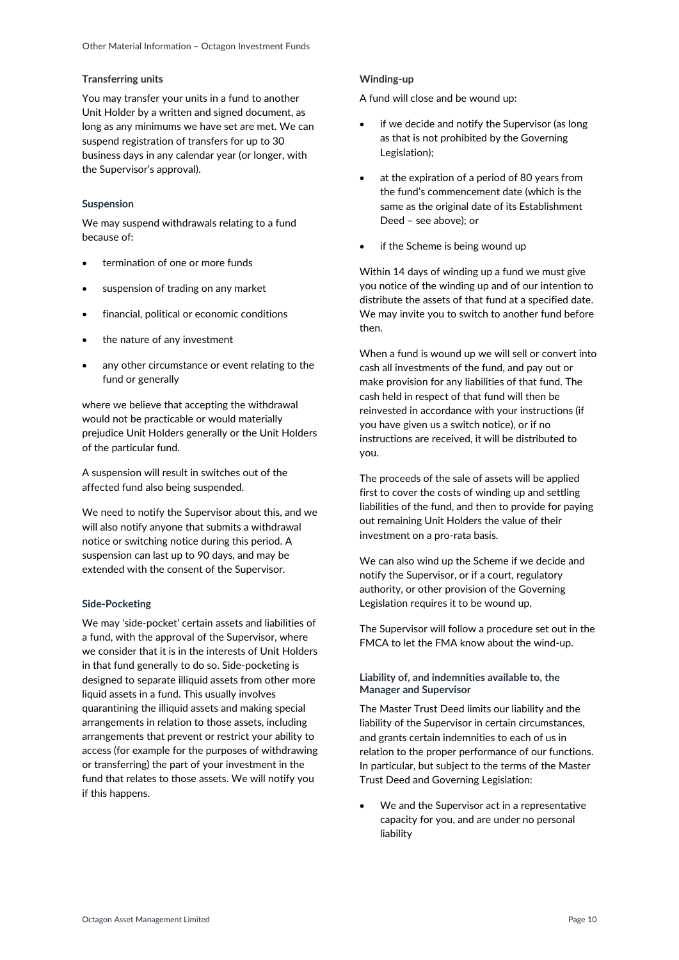#### **Transferring units**

You may transfer your units in a fund to another Unit Holder by a written and signed document, as long as any minimums we have set are met. We can suspend registration of transfers for up to 30 business days in any calendar year (or longer, with the Supervisor's approval).

#### **Suspension**

We may suspend withdrawals relating to a fund because of:

- termination of one or more funds
- suspension of trading on any market
- financial, political or economic conditions
- the nature of any investment
- any other circumstance or event relating to the fund or generally

where we believe that accepting the withdrawal would not be practicable or would materially prejudice Unit Holders generally or the Unit Holders of the particular fund.

A suspension will result in switches out of the affected fund also being suspended.

We need to notify the Supervisor about this, and we will also notify anyone that submits a withdrawal notice or switching notice during this period. A suspension can last up to 90 days, and may be extended with the consent of the Supervisor.

#### **Side-Pocketing**

We may 'side-pocket' certain assets and liabilities of a fund, with the approval of the Supervisor, where we consider that it is in the interests of Unit Holders in that fund generally to do so. Side-pocketing is designed to separate illiquid assets from other more liquid assets in a fund. This usually involves quarantining the illiquid assets and making special arrangements in relation to those assets, including arrangements that prevent or restrict your ability to access (for example for the purposes of withdrawing or transferring) the part of your investment in the fund that relates to those assets. We will notify you if this happens.

#### **Winding-up**

A fund will close and be wound up:

- if we decide and notify the Supervisor (as long as that is not prohibited by the Governing Legislation);
- at the expiration of a period of 80 years from the fund's commencement date (which is the same as the original date of its Establishment Deed – see above); or
- if the Scheme is being wound up

Within 14 days of winding up a fund we must give you notice of the winding up and of our intention to distribute the assets of that fund at a specified date. We may invite you to switch to another fund before then.

When a fund is wound up we will sell or convert into cash all investments of the fund, and pay out or make provision for any liabilities of that fund. The cash held in respect of that fund will then be reinvested in accordance with your instructions (if you have given us a switch notice), or if no instructions are received, it will be distributed to you.

The proceeds of the sale of assets will be applied first to cover the costs of winding up and settling liabilities of the fund, and then to provide for paying out remaining Unit Holders the value of their investment on a pro-rata basis.

We can also wind up the Scheme if we decide and notify the Supervisor, or if a court, regulatory authority, or other provision of the Governing Legislation requires it to be wound up.

The Supervisor will follow a procedure set out in the FMCA to let the FMA know about the wind-up.

#### **Liability of, and indemnities available to, the Manager and Supervisor**

The Master Trust Deed limits our liability and the liability of the Supervisor in certain circumstances, and grants certain indemnities to each of us in relation to the proper performance of our functions. In particular, but subject to the terms of the Master Trust Deed and Governing Legislation:

 We and the Supervisor act in a representative capacity for you, and are under no personal liability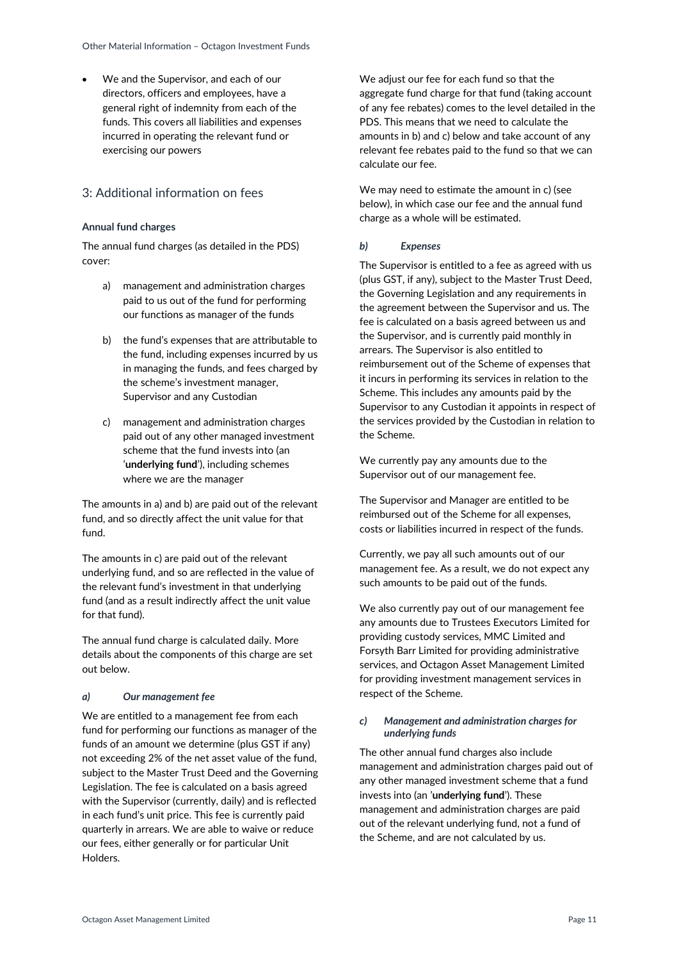We and the Supervisor, and each of our directors, officers and employees, have a general right of indemnity from each of the funds. This covers all liabilities and expenses incurred in operating the relevant fund or exercising our powers

## <span id="page-10-0"></span>3: Additional information on fees

## **Annual fund charges**

The annual fund charges (as detailed in the PDS) cover:

- a) management and administration charges paid to us out of the fund for performing our functions as manager of the funds
- b) the fund's expenses that are attributable to the fund, including expenses incurred by us in managing the funds, and fees charged by the scheme's investment manager, Supervisor and any Custodian
- c) management and administration charges paid out of any other managed investment scheme that the fund invests into (an '**underlying fund**'), including schemes where we are the manager

The amounts in a) and b) are paid out of the relevant fund, and so directly affect the unit value for that fund.

The amounts in c) are paid out of the relevant underlying fund, and so are reflected in the value of the relevant fund's investment in that underlying fund (and as a result indirectly affect the unit value for that fund).

The annual fund charge is calculated daily. More details about the components of this charge are set out below.

## *a) Our management fee*

We are entitled to a management fee from each fund for performing our functions as manager of the funds of an amount we determine (plus GST if any) not exceeding 2% of the net asset value of the fund, subject to the Master Trust Deed and the Governing Legislation. The fee is calculated on a basis agreed with the Supervisor (currently, daily) and is reflected in each fund's unit price. This fee is currently paid quarterly in arrears. We are able to waive or reduce our fees, either generally or for particular Unit Holders.

We adjust our fee for each fund so that the aggregate fund charge for that fund (taking account of any fee rebates) comes to the level detailed in the PDS. This means that we need to calculate the amounts in b) and c) below and take account of any relevant fee rebates paid to the fund so that we can calculate our fee.

We may need to estimate the amount in c) (see below), in which case our fee and the annual fund charge as a whole will be estimated.

## *b) Expenses*

The Supervisor is entitled to a fee as agreed with us (plus GST, if any), subject to the Master Trust Deed, the Governing Legislation and any requirements in the agreement between the Supervisor and us. The fee is calculated on a basis agreed between us and the Supervisor, and is currently paid monthly in arrears. The Supervisor is also entitled to reimbursement out of the Scheme of expenses that it incurs in performing its services in relation to the Scheme. This includes any amounts paid by the Supervisor to any Custodian it appoints in respect of the services provided by the Custodian in relation to the Scheme.

We currently pay any amounts due to the Supervisor out of our management fee.

The Supervisor and Manager are entitled to be reimbursed out of the Scheme for all expenses, costs or liabilities incurred in respect of the funds.

Currently, we pay all such amounts out of our management fee. As a result, we do not expect any such amounts to be paid out of the funds.

We also currently pay out of our management fee any amounts due to Trustees Executors Limited for providing custody services, MMC Limited and Forsyth Barr Limited for providing administrative services, and Octagon Asset Management Limited for providing investment management services in respect of the Scheme.

#### *c) Management and administration charges for underlying funds*

The other annual fund charges also include management and administration charges paid out of any other managed investment scheme that a fund invests into (an '**underlying fund**'). These management and administration charges are paid out of the relevant underlying fund, not a fund of the Scheme, and are not calculated by us.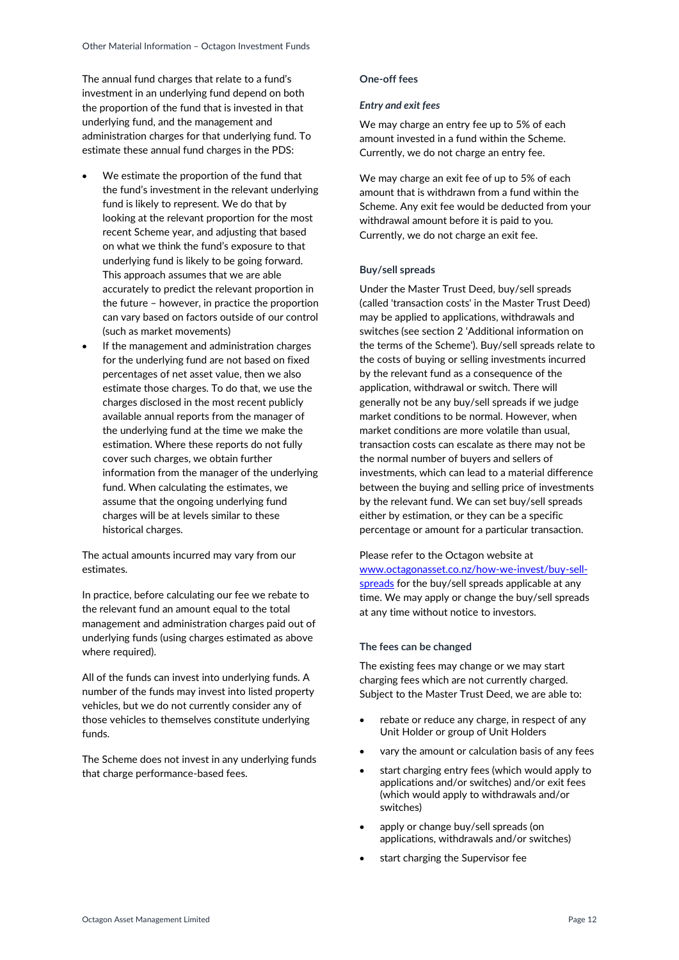The annual fund charges that relate to a fund's investment in an underlying fund depend on both the proportion of the fund that is invested in that underlying fund, and the management and administration charges for that underlying fund. To estimate these annual fund charges in the PDS:

- We estimate the proportion of the fund that the fund's investment in the relevant underlying fund is likely to represent. We do that by looking at the relevant proportion for the most recent Scheme year, and adjusting that based on what we think the fund's exposure to that underlying fund is likely to be going forward. This approach assumes that we are able accurately to predict the relevant proportion in the future – however, in practice the proportion can vary based on factors outside of our control (such as market movements)
- If the management and administration charges for the underlying fund are not based on fixed percentages of net asset value, then we also estimate those charges. To do that, we use the charges disclosed in the most recent publicly available annual reports from the manager of the underlying fund at the time we make the estimation. Where these reports do not fully cover such charges, we obtain further information from the manager of the underlying fund. When calculating the estimates, we assume that the ongoing underlying fund charges will be at levels similar to these historical charges.

The actual amounts incurred may vary from our estimates.

In practice, before calculating our fee we rebate to the relevant fund an amount equal to the total management and administration charges paid out of underlying funds (using charges estimated as above where required).

All of the funds can invest into underlying funds. A number of the funds may invest into listed property vehicles, but we do not currently consider any of those vehicles to themselves constitute underlying funds.

The Scheme does not invest in any underlying funds that charge performance-based fees.

#### **One-off fees**

### *Entry and exit fees*

We may charge an entry fee up to 5% of each amount invested in a fund within the Scheme. Currently, we do not charge an entry fee.

We may charge an exit fee of up to 5% of each amount that is withdrawn from a fund within the Scheme. Any exit fee would be deducted from your withdrawal amount before it is paid to you. Currently, we do not charge an exit fee.

#### **Buy/sell spreads**

Under the Master Trust Deed, buy/sell spreads (called 'transaction costs' in the Master Trust Deed) may be applied to applications, withdrawals and switches (see section 2 'Additional information on the terms of the Scheme'). Buy/sell spreads relate to the costs of buying or selling investments incurred by the relevant fund as a consequence of the application, withdrawal or switch. There will generally not be any buy/sell spreads if we judge market conditions to be normal. However, when market conditions are more volatile than usual, transaction costs can escalate as there may not be the normal number of buyers and sellers of investments, which can lead to a material difference between the buying and selling price of investments by the relevant fund. We can set buy/sell spreads either by estimation, or they can be a specific percentage or amount for a particular transaction.

Please refer to the Octagon website at [www.octagonasset.co.nz/how-we-invest/buy-sell](file://///forbar/data/Marketing%20and%20Compliance%20Words%20Flow/OMI%20FBIF/www.octagonasset.co.nz/how-we-invest/buy-sell-spreads)[spreads](file://///forbar/data/Marketing%20and%20Compliance%20Words%20Flow/OMI%20FBIF/www.octagonasset.co.nz/how-we-invest/buy-sell-spreads) for the buy/sell spreads applicable at any time. We may apply or change the buy/sell spreads at any time without notice to investors.

#### **The fees can be changed**

The existing fees may change or we may start charging fees which are not currently charged. Subject to the Master Trust Deed, we are able to:

- rebate or reduce any charge, in respect of any Unit Holder or group of Unit Holders
- vary the amount or calculation basis of any fees
- start charging entry fees (which would apply to applications and/or switches) and/or exit fees (which would apply to withdrawals and/or switches)
- apply or change buy/sell spreads (on applications, withdrawals and/or switches)
- start charging the Supervisor fee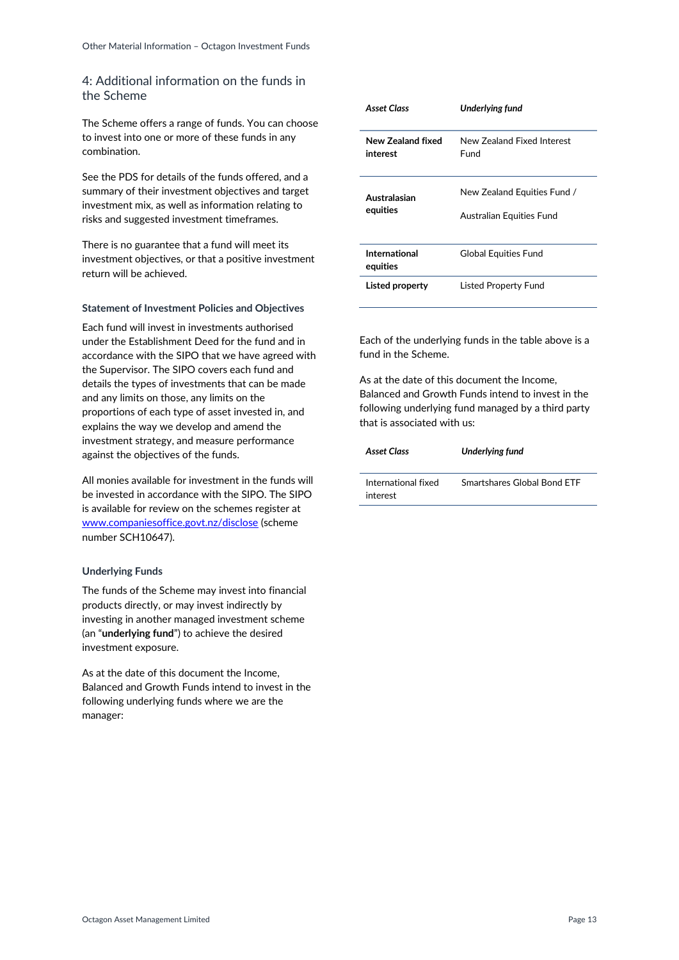## <span id="page-12-0"></span>4: Additional information on the funds in the Scheme

The Scheme offers a range of funds. You can choose to invest into one or more of these funds in any combination.

See the PDS for details of the funds offered, and a summary of their investment objectives and target investment mix, as well as information relating to risks and suggested investment timeframes.

There is no guarantee that a fund will meet its investment objectives, or that a positive investment return will be achieved.

### **Statement of Investment Policies and Objectives**

Each fund will invest in investments authorised under the Establishment Deed for the fund and in accordance with the SIPO that we have agreed with the Supervisor. The SIPO covers each fund and details the types of investments that can be made and any limits on those, any limits on the proportions of each type of asset invested in, and explains the way we develop and amend the investment strategy, and measure performance against the objectives of the funds.

All monies available for investment in the funds will be invested in accordance with the SIPO. The SIPO is available for review on the schemes register at [www.companiesoffice.govt.nz/disclose](http://www.companiesoffice.govt.nz/disclose) (scheme number SCH10647).

## **Underlying Funds**

The funds of the Scheme may invest into financial products directly, or may invest indirectly by investing in another managed investment scheme (an "**underlying fund**") to achieve the desired investment exposure.

As at the date of this document the Income, Balanced and Growth Funds intend to invest in the following underlying funds where we are the manager:

| Asset Class                   | <b>Underlying fund</b>                                  |
|-------------------------------|---------------------------------------------------------|
| New Zealand fixed<br>interest | New Zealand Fixed Interest<br>Fund                      |
| Australasian<br>equities      | New Zealand Equities Fund /<br>Australian Equities Fund |
| International<br>equities     | Global Equities Fund                                    |
| Listed property               | Listed Property Fund                                    |

Each of the underlying funds in the table above is a fund in the Scheme.

As at the date of this document the Income, Balanced and Growth Funds intend to invest in the following underlying fund managed by a third party that is associated with us:

| <b>Asset Class</b>              | <b>Underlying fund</b>      |
|---------------------------------|-----------------------------|
| International fixed<br>interest | Smartshares Global Bond FTF |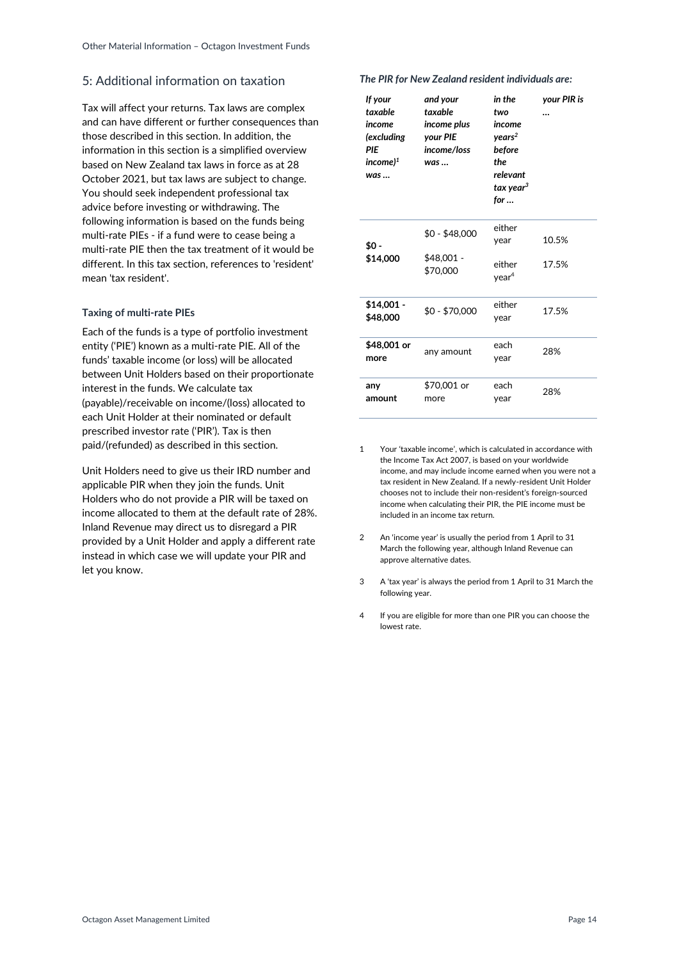## <span id="page-13-0"></span>5: Additional information on taxation

Tax will affect your returns. Tax laws are complex and can have different or further consequences than those described in this section. In addition, the information in this section is a simplified overview based on New Zealand tax laws in force as at 28 October 2021, but tax laws are subject to change. You should seek independent professional tax advice before investing or withdrawing. The following information is based on the funds being multi-rate PIEs - if a fund were to cease being a multi-rate PIE then the tax treatment of it would be different. In this tax section, references to 'resident' mean 'tax resident'.

#### **Taxing of multi-rate PIEs**

Each of the funds is a type of portfolio investment entity ('PIE') known as a multi-rate PIE. All of the funds' taxable income (or loss) will be allocated between Unit Holders based on their proportionate interest in the funds. We calculate tax (payable)/receivable on income/(loss) allocated to each Unit Holder at their nominated or default prescribed investor rate ('PIR'). Tax is then paid/(refunded) as described in this section.

Unit Holders need to give us their IRD number and applicable PIR when they join the funds. Unit Holders who do not provide a PIR will be taxed on income allocated to them at the default rate of 28%. Inland Revenue may direct us to disregard a PIR provided by a Unit Holder and apply a different rate instead in which case we will update your PIR and let you know.

#### *The PIR for New Zealand resident individuals are:*

| If your<br>taxable<br>income<br>(excluding<br>PIF<br>$income$ <sup>1</sup><br>was | and your<br>taxable<br>income plus<br>your PIE<br>income/loss<br>$was \dots$ | in the<br>two<br>income<br>years <sup>2</sup><br>before<br>the<br>relevant<br>tax year <sup>3</sup><br>for | your PIR is<br> |
|-----------------------------------------------------------------------------------|------------------------------------------------------------------------------|------------------------------------------------------------------------------------------------------------|-----------------|
| \$0 -<br>\$14,000                                                                 | $$0 - $48,000$<br>\$48,001 -<br>\$70,000                                     | either<br>year<br>either<br>year <sup>4</sup>                                                              | 10.5%<br>17.5%  |
| $$14,001 -$<br>\$48,000                                                           | \$0 - \$70,000                                                               | either<br>year                                                                                             | 17.5%           |
| \$48,001 or<br>more                                                               | any amount                                                                   | each<br>year                                                                                               | 28%             |
| any<br>amount                                                                     | \$70,001 or<br>more                                                          | each<br>year                                                                                               | 28%             |

1 Your 'taxable income', which is calculated in accordance with the Income Tax Act 2007, is based on your worldwide income, and may include income earned when you were not a tax resident in New Zealand. If a newly-resident Unit Holder chooses not to include their non-resident's foreign-sourced income when calculating their PIR, the PIE income must be included in an income tax return.

- 2 An 'income year' is usually the period from 1 April to 31 March the following year, although Inland Revenue can approve alternative dates.
- 3 A 'tax year' is always the period from 1 April to 31 March the following year.
- 4 If you are eligible for more than one PIR you can choose the lowest rate.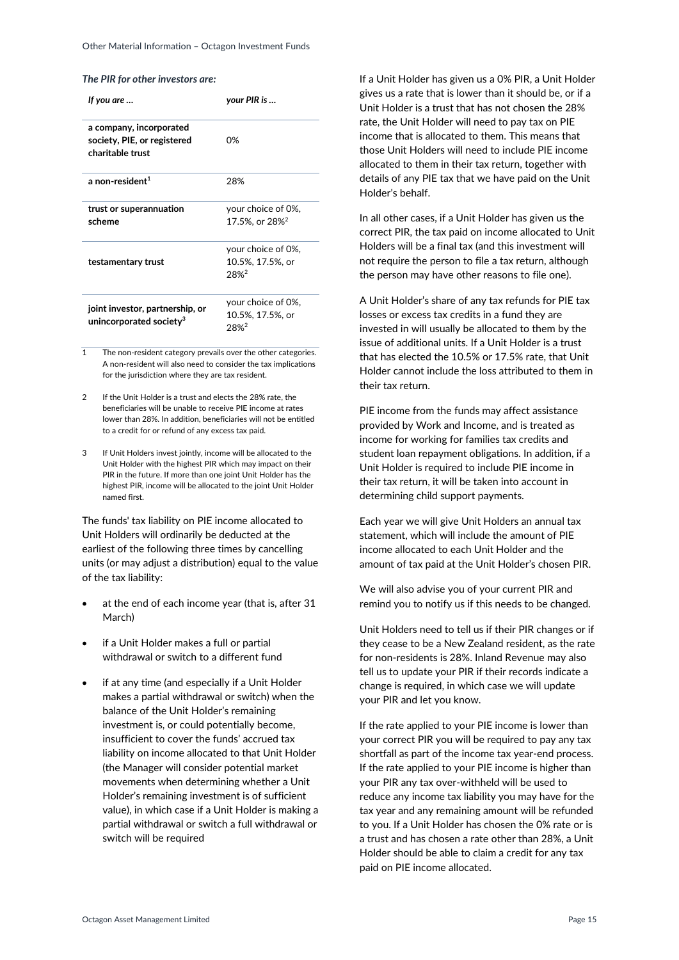| If you are                                                                 | your PIR is                                      |
|----------------------------------------------------------------------------|--------------------------------------------------|
| a company, incorporated<br>society, PIE, or registered<br>charitable trust | በ%                                               |
| a non-resident <sup>1</sup>                                                | 28%                                              |
| trust or superannuation<br>scheme                                          | your choice of 0%,<br>17.5%, or 28% <sup>2</sup> |
| testamentary trust                                                         | your choice of 0%,<br>10.5%, 17.5%, or<br>28%2   |
| joint investor, partnership, or<br>unincorporated society <sup>3</sup>     | your choice of 0%,<br>10.5%, 17.5%, or<br>28%2   |

- 1 The non-resident category prevails over the other categories. A non-resident will also need to consider the tax implications for the jurisdiction where they are tax resident.
- If the Unit Holder is a trust and elects the 28% rate, the beneficiaries will be unable to receive PIE income at rates lower than 28%. In addition, beneficiaries will not be entitled to a credit for or refund of any excess tax paid.
- 3 If Unit Holders invest jointly, income will be allocated to the Unit Holder with the highest PIR which may impact on their PIR in the future. If more than one joint Unit Holder has the highest PIR, income will be allocated to the joint Unit Holder named first.

The funds' tax liability on PIE income allocated to Unit Holders will ordinarily be deducted at the earliest of the following three times by cancelling units (or may adjust a distribution) equal to the value of the tax liability:

- at the end of each income year (that is, after 31 March)
- if a Unit Holder makes a full or partial withdrawal or switch to a different fund
- if at any time (and especially if a Unit Holder makes a partial withdrawal or switch) when the balance of the Unit Holder's remaining investment is, or could potentially become, insufficient to cover the funds' accrued tax liability on income allocated to that Unit Holder (the Manager will consider potential market movements when determining whether a Unit Holder's remaining investment is of sufficient value), in which case if a Unit Holder is making a partial withdrawal or switch a full withdrawal or switch will be required

If a Unit Holder has given us a 0% PIR, a Unit Holder gives us a rate that is lower than it should be, or if a Unit Holder is a trust that has not chosen the 28% rate, the Unit Holder will need to pay tax on PIE income that is allocated to them. This means that those Unit Holders will need to include PIE income allocated to them in their tax return, together with details of any PIE tax that we have paid on the Unit Holder's behalf.

In all other cases, if a Unit Holder has given us the correct PIR, the tax paid on income allocated to Unit Holders will be a final tax (and this investment will not require the person to file a tax return, although the person may have other reasons to file one).

A Unit Holder's share of any tax refunds for PIE tax losses or excess tax credits in a fund they are invested in will usually be allocated to them by the issue of additional units. If a Unit Holder is a trust that has elected the 10.5% or 17.5% rate, that Unit Holder cannot include the loss attributed to them in their tax return.

PIE income from the funds may affect assistance provided by Work and Income, and is treated as income for working for families tax credits and student loan repayment obligations. In addition, if a Unit Holder is required to include PIE income in their tax return, it will be taken into account in determining child support payments.

Each year we will give Unit Holders an annual tax statement, which will include the amount of PIE income allocated to each Unit Holder and the amount of tax paid at the Unit Holder's chosen PIR.

We will also advise you of your current PIR and remind you to notify us if this needs to be changed.

Unit Holders need to tell us if their PIR changes or if they cease to be a New Zealand resident, as the rate for non-residents is 28%. Inland Revenue may also tell us to update your PIR if their records indicate a change is required, in which case we will update your PIR and let you know.

If the rate applied to your PIE income is lower than your correct PIR you will be required to pay any tax shortfall as part of the income tax year-end process. If the rate applied to your PIE income is higher than your PIR any tax over-withheld will be used to reduce any income tax liability you may have for the tax year and any remaining amount will be refunded to you. If a Unit Holder has chosen the 0% rate or is a trust and has chosen a rate other than 28%, a Unit Holder should be able to claim a credit for any tax paid on PIE income allocated.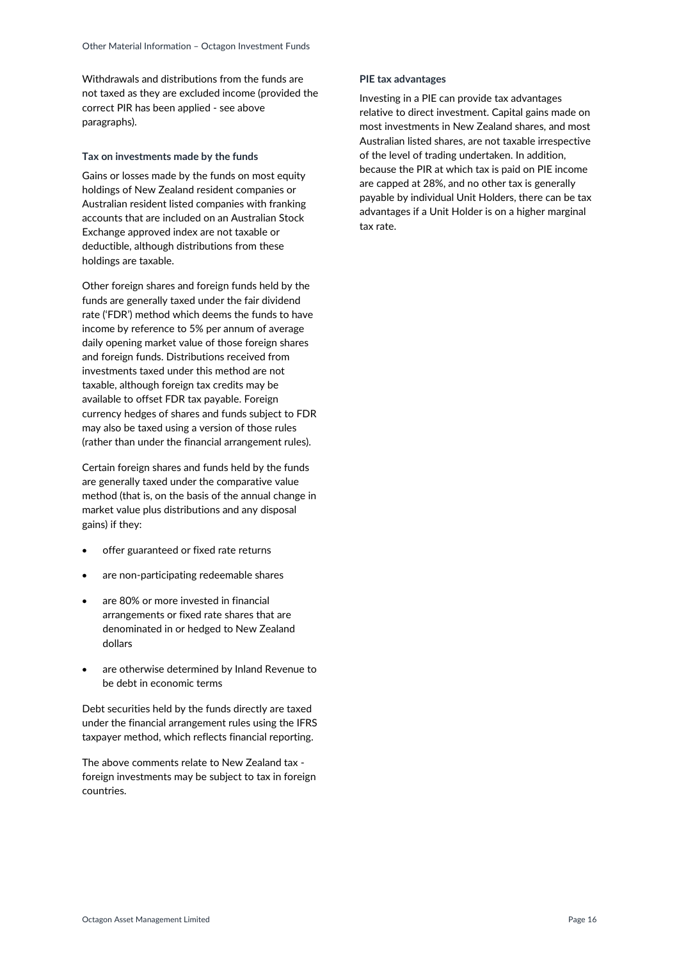Withdrawals and distributions from the funds are not taxed as they are excluded income (provided the correct PIR has been applied - see above paragraphs).

#### **Tax on investments made by the funds**

Gains or losses made by the funds on most equity holdings of New Zealand resident companies or Australian resident listed companies with franking accounts that are included on an Australian Stock Exchange approved index are not taxable or deductible, although distributions from these holdings are taxable.

Other foreign shares and foreign funds held by the funds are generally taxed under the fair dividend rate ('FDR') method which deems the funds to have income by reference to 5% per annum of average daily opening market value of those foreign shares and foreign funds. Distributions received from investments taxed under this method are not taxable, although foreign tax credits may be available to offset FDR tax payable. Foreign currency hedges of shares and funds subject to FDR may also be taxed using a version of those rules (rather than under the financial arrangement rules).

Certain foreign shares and funds held by the funds are generally taxed under the comparative value method (that is, on the basis of the annual change in market value plus distributions and any disposal gains) if they:

- offer guaranteed or fixed rate returns
- are non-participating redeemable shares
- are 80% or more invested in financial arrangements or fixed rate shares that are denominated in or hedged to New Zealand dollars
- are otherwise determined by Inland Revenue to be debt in economic terms

Debt securities held by the funds directly are taxed under the financial arrangement rules using the IFRS taxpayer method, which reflects financial reporting.

The above comments relate to New Zealand tax foreign investments may be subject to tax in foreign countries.

#### **PIE tax advantages**

Investing in a PIE can provide tax advantages relative to direct investment. Capital gains made on most investments in New Zealand shares, and most Australian listed shares, are not taxable irrespective of the level of trading undertaken. In addition, because the PIR at which tax is paid on PIE income are capped at 28%, and no other tax is generally payable by individual Unit Holders, there can be tax advantages if a Unit Holder is on a higher marginal tax rate.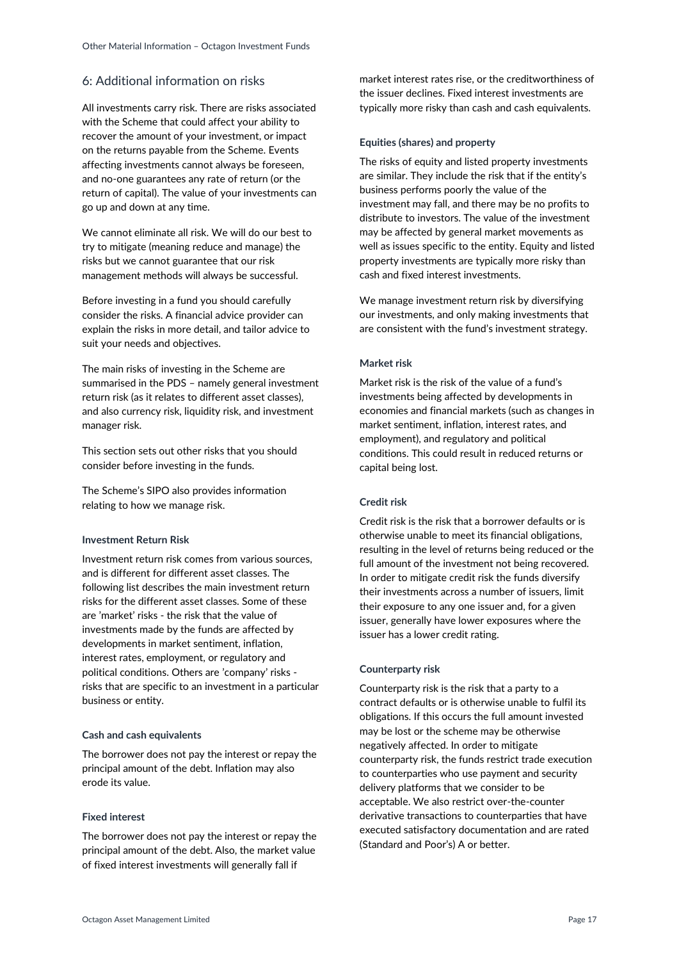## <span id="page-16-0"></span>6: Additional information on risks

All investments carry risk. There are risks associated with the Scheme that could affect your ability to recover the amount of your investment, or impact on the returns payable from the Scheme. Events affecting investments cannot always be foreseen, and no-one guarantees any rate of return (or the return of capital). The value of your investments can go up and down at any time.

We cannot eliminate all risk. We will do our best to try to mitigate (meaning reduce and manage) the risks but we cannot guarantee that our risk management methods will always be successful.

Before investing in a fund you should carefully consider the risks. A financial advice provider can explain the risks in more detail, and tailor advice to suit your needs and objectives.

The main risks of investing in the Scheme are summarised in the PDS – namely general investment return risk (as it relates to different asset classes), and also currency risk, liquidity risk, and investment manager risk.

This section sets out other risks that you should consider before investing in the funds.

The Scheme's SIPO also provides information relating to how we manage risk.

#### **Investment Return Risk**

Investment return risk comes from various sources, and is different for different asset classes. The following list describes the main investment return risks for the different asset classes. Some of these are 'market' risks - the risk that the value of investments made by the funds are affected by developments in market sentiment, inflation, interest rates, employment, or regulatory and political conditions. Others are 'company' risks risks that are specific to an investment in a particular business or entity.

#### **Cash and cash equivalents**

The borrower does not pay the interest or repay the principal amount of the debt. Inflation may also erode its value.

#### **Fixed interest**

The borrower does not pay the interest or repay the principal amount of the debt. Also, the market value of fixed interest investments will generally fall if

market interest rates rise, or the creditworthiness of the issuer declines. Fixed interest investments are typically more risky than cash and cash equivalents.

#### **Equities (shares) and property**

The risks of equity and listed property investments are similar. They include the risk that if the entity's business performs poorly the value of the investment may fall, and there may be no profits to distribute to investors. The value of the investment may be affected by general market movements as well as issues specific to the entity. Equity and listed property investments are typically more risky than cash and fixed interest investments.

We manage investment return risk by diversifying our investments, and only making investments that are consistent with the fund's investment strategy.

#### **Market risk**

Market risk is the risk of the value of a fund's investments being affected by developments in economies and financial markets (such as changes in market sentiment, inflation, interest rates, and employment), and regulatory and political conditions. This could result in reduced returns or capital being lost.

#### **Credit risk**

Credit risk is the risk that a borrower defaults or is otherwise unable to meet its financial obligations, resulting in the level of returns being reduced or the full amount of the investment not being recovered. In order to mitigate credit risk the funds diversify their investments across a number of issuers, limit their exposure to any one issuer and, for a given issuer, generally have lower exposures where the issuer has a lower credit rating.

#### **Counterparty risk**

Counterparty risk is the risk that a party to a contract defaults or is otherwise unable to fulfil its obligations. If this occurs the full amount invested may be lost or the scheme may be otherwise negatively affected. In order to mitigate counterparty risk, the funds restrict trade execution to counterparties who use payment and security delivery platforms that we consider to be acceptable. We also restrict over-the-counter derivative transactions to counterparties that have executed satisfactory documentation and are rated (Standard and Poor's) A or better.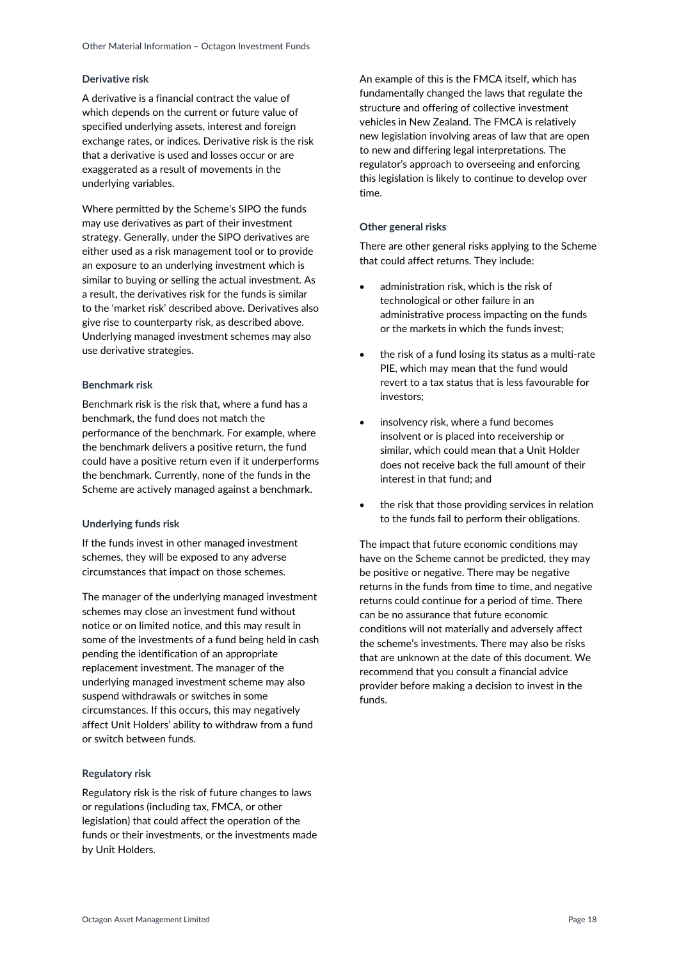#### **Derivative risk**

A derivative is a financial contract the value of which depends on the current or future value of specified underlying assets, interest and foreign exchange rates, or indices. Derivative risk is the risk that a derivative is used and losses occur or are exaggerated as a result of movements in the underlying variables.

Where permitted by the Scheme's SIPO the funds may use derivatives as part of their investment strategy. Generally, under the SIPO derivatives are either used as a risk management tool or to provide an exposure to an underlying investment which is similar to buying or selling the actual investment. As a result, the derivatives risk for the funds is similar to the 'market risk' described above. Derivatives also give rise to counterparty risk, as described above. Underlying managed investment schemes may also use derivative strategies.

#### **Benchmark risk**

Benchmark risk is the risk that, where a fund has a benchmark, the fund does not match the performance of the benchmark. For example, where the benchmark delivers a positive return, the fund could have a positive return even if it underperforms the benchmark. Currently, none of the funds in the Scheme are actively managed against a benchmark.

#### **Underlying funds risk**

If the funds invest in other managed investment schemes, they will be exposed to any adverse circumstances that impact on those schemes.

The manager of the underlying managed investment schemes may close an investment fund without notice or on limited notice, and this may result in some of the investments of a fund being held in cash pending the identification of an appropriate replacement investment. The manager of the underlying managed investment scheme may also suspend withdrawals or switches in some circumstances. If this occurs, this may negatively affect Unit Holders' ability to withdraw from a fund or switch between funds.

#### **Regulatory risk**

Regulatory risk is the risk of future changes to laws or regulations (including tax, FMCA, or other legislation) that could affect the operation of the funds or their investments, or the investments made by Unit Holders.

An example of this is the FMCA itself, which has fundamentally changed the laws that regulate the structure and offering of collective investment vehicles in New Zealand. The FMCA is relatively new legislation involving areas of law that are open to new and differing legal interpretations. The regulator's approach to overseeing and enforcing this legislation is likely to continue to develop over time.

#### **Other general risks**

There are other general risks applying to the Scheme that could affect returns. They include:

- administration risk, which is the risk of technological or other failure in an administrative process impacting on the funds or the markets in which the funds invest;
- the risk of a fund losing its status as a multi-rate PIE, which may mean that the fund would revert to a tax status that is less favourable for investors;
- insolvency risk, where a fund becomes insolvent or is placed into receivership or similar, which could mean that a Unit Holder does not receive back the full amount of their interest in that fund; and
- the risk that those providing services in relation to the funds fail to perform their obligations.

The impact that future economic conditions may have on the Scheme cannot be predicted, they may be positive or negative. There may be negative returns in the funds from time to time, and negative returns could continue for a period of time. There can be no assurance that future economic conditions will not materially and adversely affect the scheme's investments. There may also be risks that are unknown at the date of this document. We recommend that you consult a financial advice provider before making a decision to invest in the funds.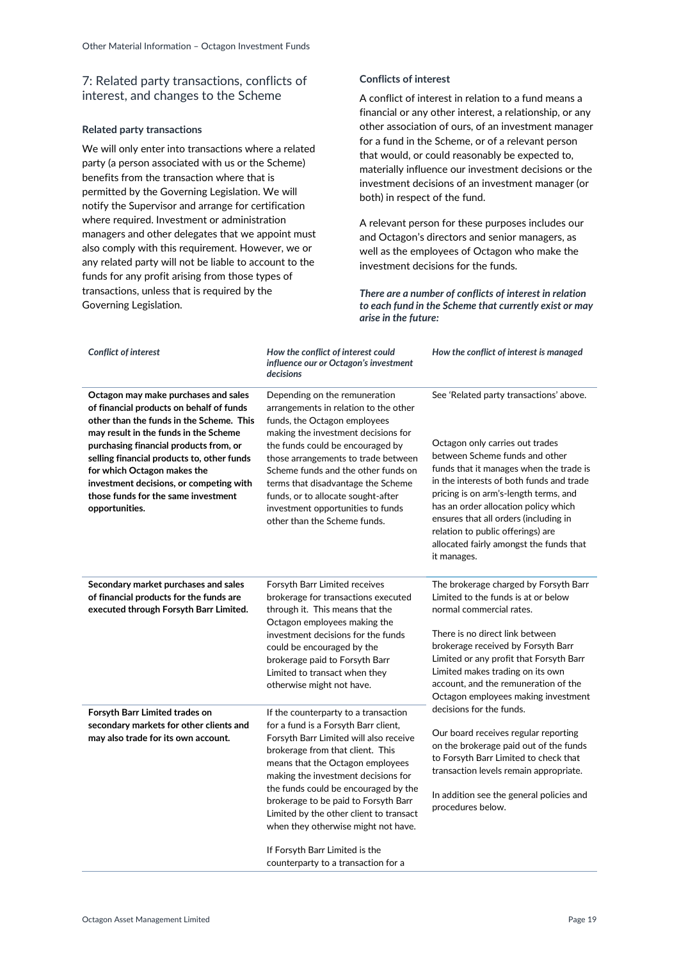## <span id="page-18-0"></span>7: Related party transactions, conflicts of interest, and changes to the Scheme

### **Related party transactions**

We will only enter into transactions where a related party (a person associated with us or the Scheme) benefits from the transaction where that is permitted by the Governing Legislation. We will notify the Supervisor and arrange for certification where required. Investment or administration managers and other delegates that we appoint must also comply with this requirement. However, we or any related party will not be liable to account to the funds for any profit arising from those types of transactions, unless that is required by the Governing Legislation.

### **Conflicts of interest**

A conflict of interest in relation to a fund means a financial or any other interest, a relationship, or any other association of ours, of an investment manager for a fund in the Scheme, or of a relevant person that would, or could reasonably be expected to, materially influence our investment decisions or the investment decisions of an investment manager (or both) in respect of the fund.

A relevant person for these purposes includes our and Octagon's directors and senior managers, as well as the employees of Octagon who make the investment decisions for the funds.

*There are a number of conflicts of interest in relation to each fund in the Scheme that currently exist or may arise in the future:*

| <b>Conflict of interest</b>                                                                                                                                                                                                                                                                                                                                                                      | How the conflict of interest could<br>influence our or Octagon's investment<br>decisions                                                                                                                                                                                                                                                                                                                                                                                         | How the conflict of interest is managed                                                                                                                                                                                                                                                                                                                                                                                      |
|--------------------------------------------------------------------------------------------------------------------------------------------------------------------------------------------------------------------------------------------------------------------------------------------------------------------------------------------------------------------------------------------------|----------------------------------------------------------------------------------------------------------------------------------------------------------------------------------------------------------------------------------------------------------------------------------------------------------------------------------------------------------------------------------------------------------------------------------------------------------------------------------|------------------------------------------------------------------------------------------------------------------------------------------------------------------------------------------------------------------------------------------------------------------------------------------------------------------------------------------------------------------------------------------------------------------------------|
| Octagon may make purchases and sales<br>of financial products on behalf of funds<br>other than the funds in the Scheme. This<br>may result in the funds in the Scheme<br>purchasing financial products from, or<br>selling financial products to, other funds<br>for which Octagon makes the<br>investment decisions, or competing with<br>those funds for the same investment<br>opportunities. | Depending on the remuneration<br>arrangements in relation to the other<br>funds, the Octagon employees<br>making the investment decisions for<br>the funds could be encouraged by<br>those arrangements to trade between<br>Scheme funds and the other funds on<br>terms that disadvantage the Scheme<br>funds, or to allocate sought-after<br>investment opportunities to funds<br>other than the Scheme funds.                                                                 | See 'Related party transactions' above.<br>Octagon only carries out trades<br>between Scheme funds and other<br>funds that it manages when the trade is<br>in the interests of both funds and trade<br>pricing is on arm's-length terms, and<br>has an order allocation policy which<br>ensures that all orders (including in<br>relation to public offerings) are<br>allocated fairly amongst the funds that<br>it manages. |
| Secondary market purchases and sales<br>of financial products for the funds are<br>executed through Forsyth Barr Limited.                                                                                                                                                                                                                                                                        | Forsyth Barr Limited receives<br>brokerage for transactions executed<br>through it. This means that the<br>Octagon employees making the<br>investment decisions for the funds<br>could be encouraged by the<br>brokerage paid to Forsyth Barr<br>Limited to transact when they<br>otherwise might not have.                                                                                                                                                                      | The brokerage charged by Forsyth Barr<br>Limited to the funds is at or below<br>normal commercial rates.<br>There is no direct link between<br>brokerage received by Forsyth Barr<br>Limited or any profit that Forsyth Barr<br>Limited makes trading on its own<br>account, and the remuneration of the<br>Octagon employees making investment                                                                              |
| Forsyth Barr Limited trades on<br>secondary markets for other clients and<br>may also trade for its own account.                                                                                                                                                                                                                                                                                 | If the counterparty to a transaction<br>for a fund is a Forsyth Barr client,<br>Forsyth Barr Limited will also receive<br>brokerage from that client. This<br>means that the Octagon employees<br>making the investment decisions for<br>the funds could be encouraged by the<br>brokerage to be paid to Forsyth Barr<br>Limited by the other client to transact<br>when they otherwise might not have.<br>If Forsyth Barr Limited is the<br>counterparty to a transaction for a | decisions for the funds.<br>Our board receives regular reporting<br>on the brokerage paid out of the funds<br>to Forsyth Barr Limited to check that<br>transaction levels remain appropriate.<br>In addition see the general policies and<br>procedures below.                                                                                                                                                               |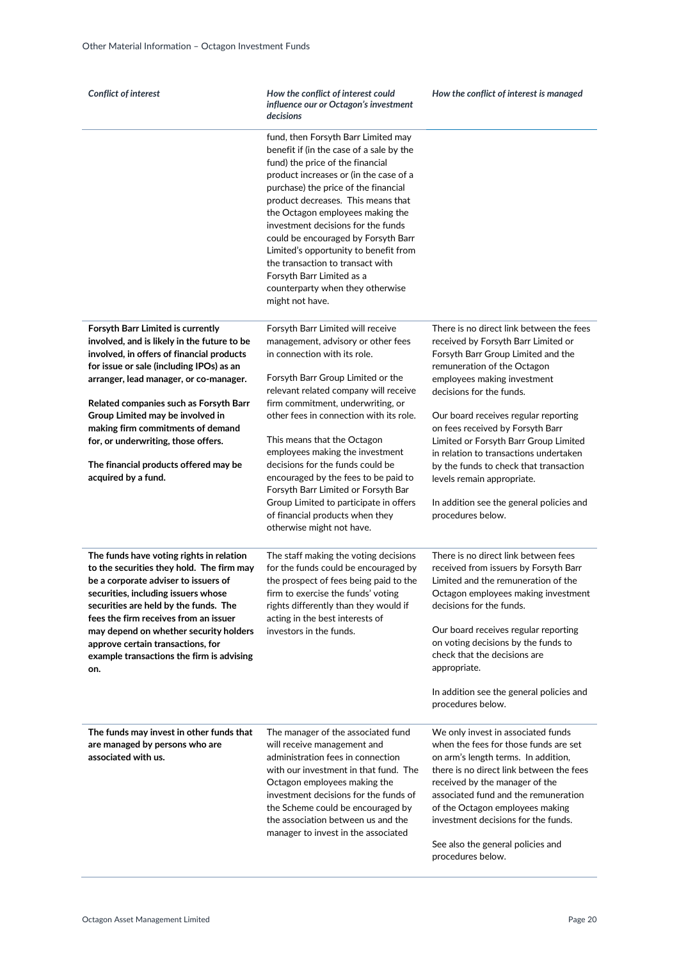| <b>Conflict of interest</b>                                                                                                                                                                                                                                                                                                                                                               | How the conflict of interest could<br>influence our or Octagon's investment<br>decisions                                                                                                                                                                                                                                                                                                                                                                                                                                      | How the conflict of interest is managed                                                                                                                                                                                                                                                                                                                                      |
|-------------------------------------------------------------------------------------------------------------------------------------------------------------------------------------------------------------------------------------------------------------------------------------------------------------------------------------------------------------------------------------------|-------------------------------------------------------------------------------------------------------------------------------------------------------------------------------------------------------------------------------------------------------------------------------------------------------------------------------------------------------------------------------------------------------------------------------------------------------------------------------------------------------------------------------|------------------------------------------------------------------------------------------------------------------------------------------------------------------------------------------------------------------------------------------------------------------------------------------------------------------------------------------------------------------------------|
|                                                                                                                                                                                                                                                                                                                                                                                           | fund, then Forsyth Barr Limited may<br>benefit if (in the case of a sale by the<br>fund) the price of the financial<br>product increases or (in the case of a<br>purchase) the price of the financial<br>product decreases. This means that<br>the Octagon employees making the<br>investment decisions for the funds<br>could be encouraged by Forsyth Barr<br>Limited's opportunity to benefit from<br>the transaction to transact with<br>Forsyth Barr Limited as a<br>counterparty when they otherwise<br>might not have. |                                                                                                                                                                                                                                                                                                                                                                              |
| Forsyth Barr Limited is currently                                                                                                                                                                                                                                                                                                                                                         | Forsyth Barr Limited will receive                                                                                                                                                                                                                                                                                                                                                                                                                                                                                             | There is no direct link between the fees                                                                                                                                                                                                                                                                                                                                     |
| involved, and is likely in the future to be<br>involved, in offers of financial products<br>for issue or sale (including IPOs) as an<br>arranger, lead manager, or co-manager.<br>Related companies such as Forsyth Barr                                                                                                                                                                  | management, advisory or other fees<br>in connection with its role.<br>Forsyth Barr Group Limited or the<br>relevant related company will receive<br>firm commitment, underwriting, or                                                                                                                                                                                                                                                                                                                                         | received by Forsyth Barr Limited or<br>Forsyth Barr Group Limited and the<br>remuneration of the Octagon<br>employees making investment<br>decisions for the funds.                                                                                                                                                                                                          |
| Group Limited may be involved in<br>making firm commitments of demand<br>for, or underwriting, those offers.                                                                                                                                                                                                                                                                              | other fees in connection with its role.<br>This means that the Octagon<br>employees making the investment                                                                                                                                                                                                                                                                                                                                                                                                                     | Our board receives regular reporting<br>on fees received by Forsyth Barr<br>Limited or Forsyth Barr Group Limited<br>in relation to transactions undertaken                                                                                                                                                                                                                  |
| The financial products offered may be<br>acquired by a fund.                                                                                                                                                                                                                                                                                                                              | decisions for the funds could be<br>encouraged by the fees to be paid to<br>Forsyth Barr Limited or Forsyth Bar<br>Group Limited to participate in offers<br>of financial products when they                                                                                                                                                                                                                                                                                                                                  | by the funds to check that transaction<br>levels remain appropriate.<br>In addition see the general policies and<br>procedures below.                                                                                                                                                                                                                                        |
|                                                                                                                                                                                                                                                                                                                                                                                           | otherwise might not have.                                                                                                                                                                                                                                                                                                                                                                                                                                                                                                     |                                                                                                                                                                                                                                                                                                                                                                              |
| The funds have voting rights in relation<br>to the securities they hold. The firm may<br>be a corporate adviser to issuers of<br>securities, including issuers whose<br>securities are held by the funds. The<br>fees the firm receives from an issuer<br>may depend on whether security holders<br>approve certain transactions, for<br>example transactions the firm is advising<br>on. | The staff making the voting decisions<br>for the funds could be encouraged by<br>the prospect of fees being paid to the<br>firm to exercise the funds' voting<br>rights differently than they would if<br>acting in the best interests of<br>investors in the funds.                                                                                                                                                                                                                                                          | There is no direct link between fees<br>received from issuers by Forsyth Barr<br>Limited and the remuneration of the<br>Octagon employees making investment<br>decisions for the funds.<br>Our board receives regular reporting<br>on voting decisions by the funds to<br>check that the decisions are<br>appropriate.                                                       |
|                                                                                                                                                                                                                                                                                                                                                                                           |                                                                                                                                                                                                                                                                                                                                                                                                                                                                                                                               | In addition see the general policies and<br>procedures below.                                                                                                                                                                                                                                                                                                                |
| The funds may invest in other funds that<br>are managed by persons who are<br>associated with us.                                                                                                                                                                                                                                                                                         | The manager of the associated fund<br>will receive management and<br>administration fees in connection<br>with our investment in that fund. The<br>Octagon employees making the<br>investment decisions for the funds of<br>the Scheme could be encouraged by<br>the association between us and the<br>manager to invest in the associated                                                                                                                                                                                    | We only invest in associated funds<br>when the fees for those funds are set<br>on arm's length terms. In addition,<br>there is no direct link between the fees<br>received by the manager of the<br>associated fund and the remuneration<br>of the Octagon employees making<br>investment decisions for the funds.<br>See also the general policies and<br>procedures below. |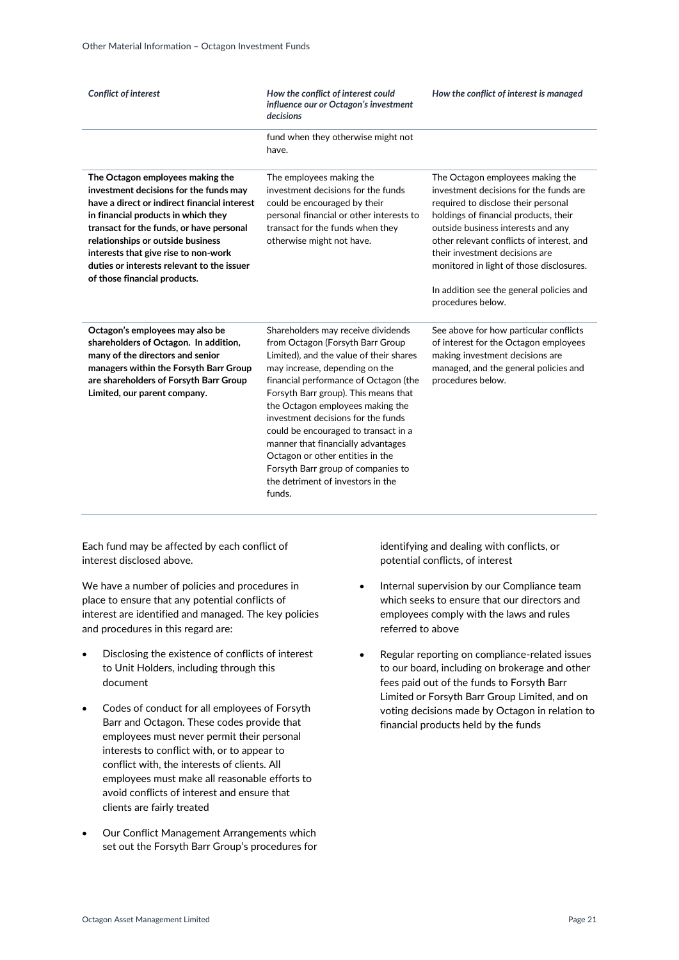| <b>Conflict of interest</b>                                                                                                                                                                                                                                                                                                                                              | How the conflict of interest could<br>influence our or Octagon's investment<br>decisions                                                                                                                                                                                                                                                                                                                                                                                                                              | How the conflict of interest is managed                                                                                                                                                                                                                                                                                                                                                      |
|--------------------------------------------------------------------------------------------------------------------------------------------------------------------------------------------------------------------------------------------------------------------------------------------------------------------------------------------------------------------------|-----------------------------------------------------------------------------------------------------------------------------------------------------------------------------------------------------------------------------------------------------------------------------------------------------------------------------------------------------------------------------------------------------------------------------------------------------------------------------------------------------------------------|----------------------------------------------------------------------------------------------------------------------------------------------------------------------------------------------------------------------------------------------------------------------------------------------------------------------------------------------------------------------------------------------|
|                                                                                                                                                                                                                                                                                                                                                                          | fund when they otherwise might not<br>have.                                                                                                                                                                                                                                                                                                                                                                                                                                                                           |                                                                                                                                                                                                                                                                                                                                                                                              |
| The Octagon employees making the<br>investment decisions for the funds may<br>have a direct or indirect financial interest<br>in financial products in which they<br>transact for the funds, or have personal<br>relationships or outside business<br>interests that give rise to non-work<br>duties or interests relevant to the issuer<br>of those financial products. | The employees making the<br>investment decisions for the funds<br>could be encouraged by their<br>personal financial or other interests to<br>transact for the funds when they<br>otherwise might not have.                                                                                                                                                                                                                                                                                                           | The Octagon employees making the<br>investment decisions for the funds are<br>required to disclose their personal<br>holdings of financial products, their<br>outside business interests and any<br>other relevant conflicts of interest, and<br>their investment decisions are<br>monitored in light of those disclosures.<br>In addition see the general policies and<br>procedures below. |
| Octagon's employees may also be<br>shareholders of Octagon. In addition,<br>many of the directors and senior<br>managers within the Forsyth Barr Group<br>are shareholders of Forsyth Barr Group<br>Limited, our parent company.                                                                                                                                         | Shareholders may receive dividends<br>from Octagon (Forsyth Barr Group<br>Limited), and the value of their shares<br>may increase, depending on the<br>financial performance of Octagon (the<br>Forsyth Barr group). This means that<br>the Octagon employees making the<br>investment decisions for the funds<br>could be encouraged to transact in a<br>manner that financially advantages<br>Octagon or other entities in the<br>Forsyth Barr group of companies to<br>the detriment of investors in the<br>funds. | See above for how particular conflicts<br>of interest for the Octagon employees<br>making investment decisions are<br>managed, and the general policies and<br>procedures below.                                                                                                                                                                                                             |

Each fund may be affected by each conflict of interest disclosed above.

We have a number of policies and procedures in place to ensure that any potential conflicts of interest are identified and managed. The key policies and procedures in this regard are:

- Disclosing the existence of conflicts of interest to Unit Holders, including through this document
- Codes of conduct for all employees of Forsyth Barr and Octagon. These codes provide that employees must never permit their personal interests to conflict with, or to appear to conflict with, the interests of clients. All employees must make all reasonable efforts to avoid conflicts of interest and ensure that clients are fairly treated
- Our Conflict Management Arrangements which set out the Forsyth Barr Group's procedures for

identifying and dealing with conflicts, or potential conflicts, of interest

- Internal supervision by our Compliance team which seeks to ensure that our directors and employees comply with the laws and rules referred to above
- Regular reporting on compliance-related issues to our board, including on brokerage and other fees paid out of the funds to Forsyth Barr Limited or Forsyth Barr Group Limited, and on voting decisions made by Octagon in relation to financial products held by the funds